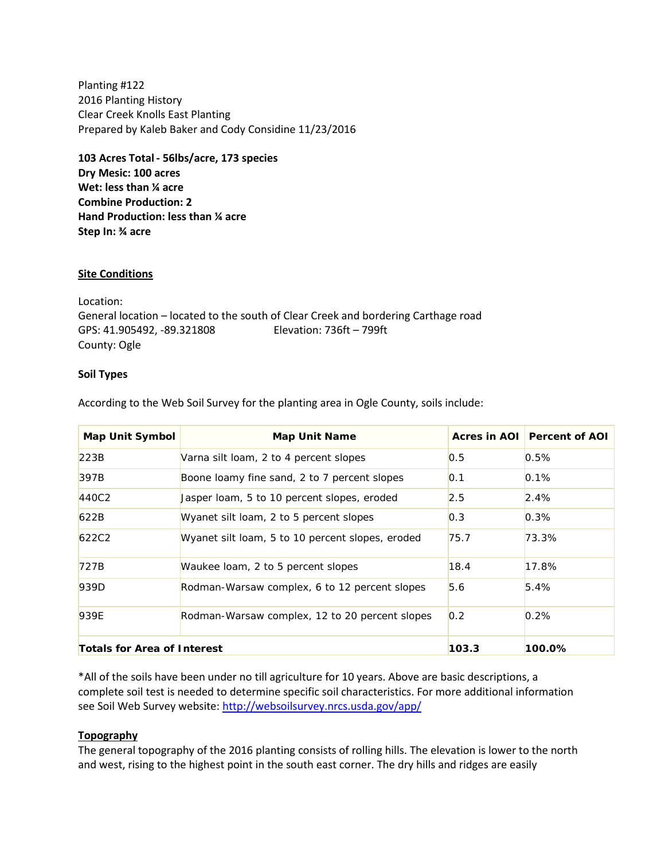Planting #122 2016 Planting History Clear Creek Knolls East Planting Prepared by Kaleb Baker and Cody Considine 11/23/2016

**103 Acres Total - 56lbs/acre, 173 species Dry Mesic: 100 acres Wet: less than ¼ acre Combine Production: 2 Hand Production: less than ¼ acre Step In: ¾ acre**

#### **Site Conditions**

Location: General location – located to the south of Clear Creek and bordering Carthage road GPS: 41.905492, -89.321808 Elevation: 736ft – 799ft County: Ogle

#### **Soil Types**

According to the Web Soil Survey for the planting area in Ogle County, soils include:

| <b>Map Unit Symbol</b>      | <b>Map Unit Name</b>                             |       | Acres in AOI Percent of AOI |
|-----------------------------|--------------------------------------------------|-------|-----------------------------|
| 223B                        | Varna silt loam, 2 to 4 percent slopes           | 0.5   | 0.5%                        |
| 397B                        | Boone loamy fine sand, 2 to 7 percent slopes     | 0.1   | 0.1%                        |
| 440C2                       | Jasper loam, 5 to 10 percent slopes, eroded      | 2.5   | 2.4%                        |
| 622B                        | Wyanet silt loam, 2 to 5 percent slopes          | 0.3   | 0.3%                        |
| 622C2                       | Wyanet silt loam, 5 to 10 percent slopes, eroded | 75.7  | 73.3%                       |
| 727B                        | Waukee loam, 2 to 5 percent slopes               | 18.4  | 17.8%                       |
| 939D                        | Rodman-Warsaw complex, 6 to 12 percent slopes    | 5.6   | 5.4%                        |
| 939E                        | Rodman-Warsaw complex, 12 to 20 percent slopes   | 0.2   | 0.2%                        |
| Totals for Area of Interest |                                                  | 103.3 | 100.0%                      |

\*All of the soils have been under no till agriculture for 10 years. Above are basic descriptions, a complete soil test is needed to determine specific soil characteristics. For more additional information see Soil Web Survey website:<http://websoilsurvey.nrcs.usda.gov/app/>

## **Topography**

The general topography of the 2016 planting consists of rolling hills. The elevation is lower to the north and west, rising to the highest point in the south east corner. The dry hills and ridges are easily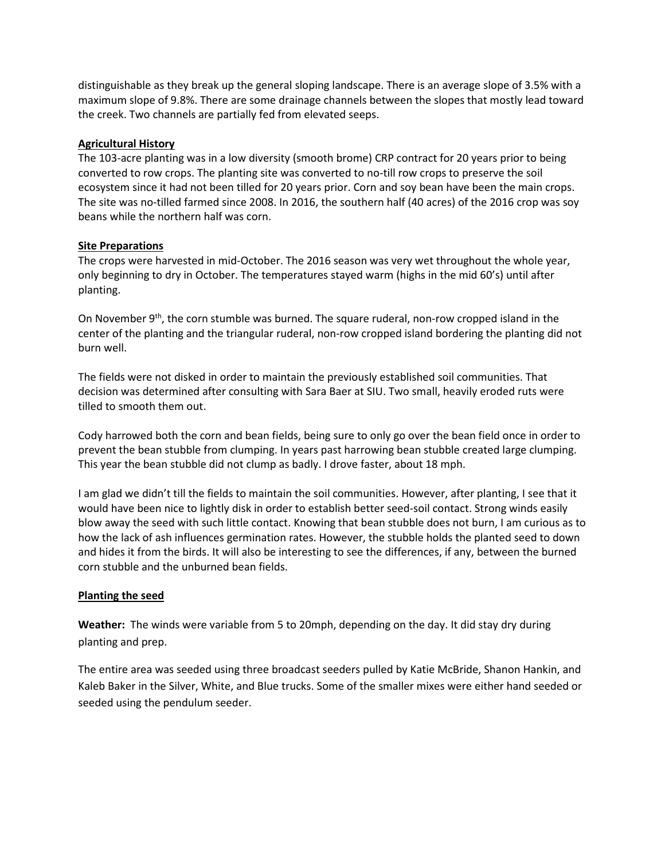distinguishable as they break up the general sloping landscape. There is an average slope of 3.5% with a maximum slope of 9.8%. There are some drainage channels between the slopes that mostly lead toward the creek. Two channels are partially fed from elevated seeps.

#### **Agricultural History**

The 103-acre planting was in a low diversity (smooth brome) CRP contract for 20 years prior to being converted to row crops. The planting site was converted to no-till row crops to preserve the soil ecosystem since it had not been tilled for 20 years prior. Corn and soy bean have been the main crops. The site was no-tilled farmed since 2008. In 2016, the southern half (40 acres) of the 2016 crop was soy beans while the northern half was corn.

#### **Site Preparations**

The crops were harvested in mid-October. The 2016 season was very wet throughout the whole year, only beginning to dry in October. The temperatures stayed warm (highs in the mid 60's) until after planting.

On November 9<sup>th</sup>, the corn stumble was burned. The square ruderal, non-row cropped island in the center of the planting and the triangular ruderal, non-row cropped island bordering the planting did not burn well.

The fields were not disked in order to maintain the previously established soil communities. That decision was determined after consulting with Sara Baer at SIU. Two small, heavily eroded ruts were tilled to smooth them out.

Cody harrowed both the corn and bean fields, being sure to only go over the bean field once in order to prevent the bean stubble from clumping. In years past harrowing bean stubble created large clumping. This year the bean stubble did not clump as badly. I drove faster, about 18 mph.

I am glad we didn't till the fields to maintain the soil communities. However, after planting, I see that it would have been nice to lightly disk in order to establish better seed-soil contact. Strong winds easily blow away the seed with such little contact. Knowing that bean stubble does not burn, I am curious as to how the lack of ash influences germination rates. However, the stubble holds the planted seed to down and hides it from the birds. It will also be interesting to see the differences, if any, between the burned corn stubble and the unburned bean fields.

#### **Planting the seed**

**Weather:** The winds were variable from 5 to 20mph, depending on the day. It did stay dry during planting and prep.

The entire area was seeded using three broadcast seeders pulled by Katie McBride, Shanon Hankin, and Kaleb Baker in the Silver, White, and Blue trucks. Some of the smaller mixes were either hand seeded or seeded using the pendulum seeder.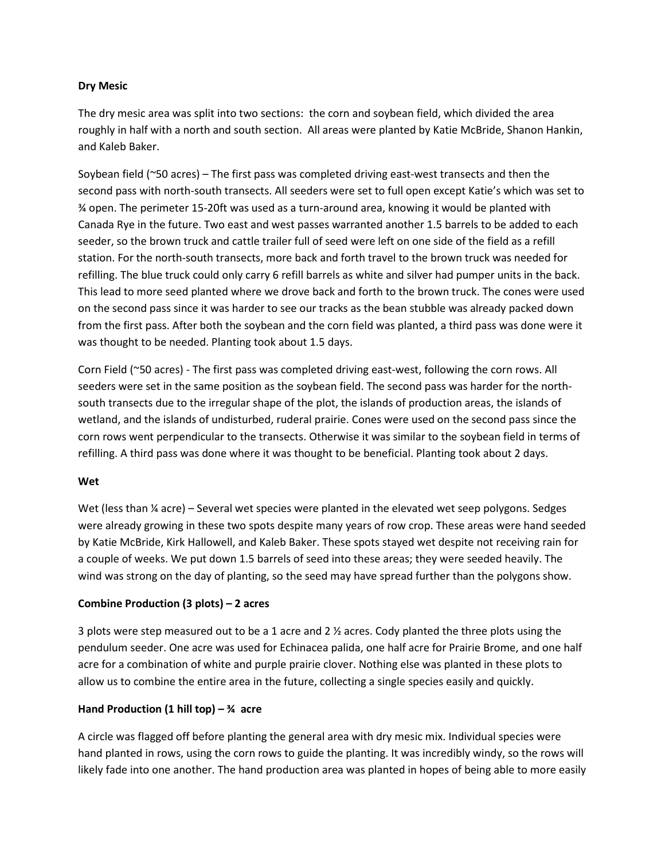## **Dry Mesic**

The dry mesic area was split into two sections: the corn and soybean field, which divided the area roughly in half with a north and south section. All areas were planted by Katie McBride, Shanon Hankin, and Kaleb Baker.

Soybean field (~50 acres) – The first pass was completed driving east-west transects and then the second pass with north-south transects. All seeders were set to full open except Katie's which was set to ¾ open. The perimeter 15-20ft was used as a turn-around area, knowing it would be planted with Canada Rye in the future. Two east and west passes warranted another 1.5 barrels to be added to each seeder, so the brown truck and cattle trailer full of seed were left on one side of the field as a refill station. For the north-south transects, more back and forth travel to the brown truck was needed for refilling. The blue truck could only carry 6 refill barrels as white and silver had pumper units in the back. This lead to more seed planted where we drove back and forth to the brown truck. The cones were used on the second pass since it was harder to see our tracks as the bean stubble was already packed down from the first pass. After both the soybean and the corn field was planted, a third pass was done were it was thought to be needed. Planting took about 1.5 days.

Corn Field (~50 acres) - The first pass was completed driving east-west, following the corn rows. All seeders were set in the same position as the soybean field. The second pass was harder for the northsouth transects due to the irregular shape of the plot, the islands of production areas, the islands of wetland, and the islands of undisturbed, ruderal prairie. Cones were used on the second pass since the corn rows went perpendicular to the transects. Otherwise it was similar to the soybean field in terms of refilling. A third pass was done where it was thought to be beneficial. Planting took about 2 days.

#### **Wet**

Wet (less than  $\frac{1}{4}$  acre) – Several wet species were planted in the elevated wet seep polygons. Sedges were already growing in these two spots despite many years of row crop. These areas were hand seeded by Katie McBride, Kirk Hallowell, and Kaleb Baker. These spots stayed wet despite not receiving rain for a couple of weeks. We put down 1.5 barrels of seed into these areas; they were seeded heavily. The wind was strong on the day of planting, so the seed may have spread further than the polygons show.

## **Combine Production (3 plots) – 2 acres**

3 plots were step measured out to be a 1 acre and 2 ½ acres. Cody planted the three plots using the pendulum seeder. One acre was used for Echinacea palida, one half acre for Prairie Brome, and one half acre for a combination of white and purple prairie clover. Nothing else was planted in these plots to allow us to combine the entire area in the future, collecting a single species easily and quickly.

## **Hand Production (1 hill top) – ¾ acre**

A circle was flagged off before planting the general area with dry mesic mix. Individual species were hand planted in rows, using the corn rows to guide the planting. It was incredibly windy, so the rows will likely fade into one another. The hand production area was planted in hopes of being able to more easily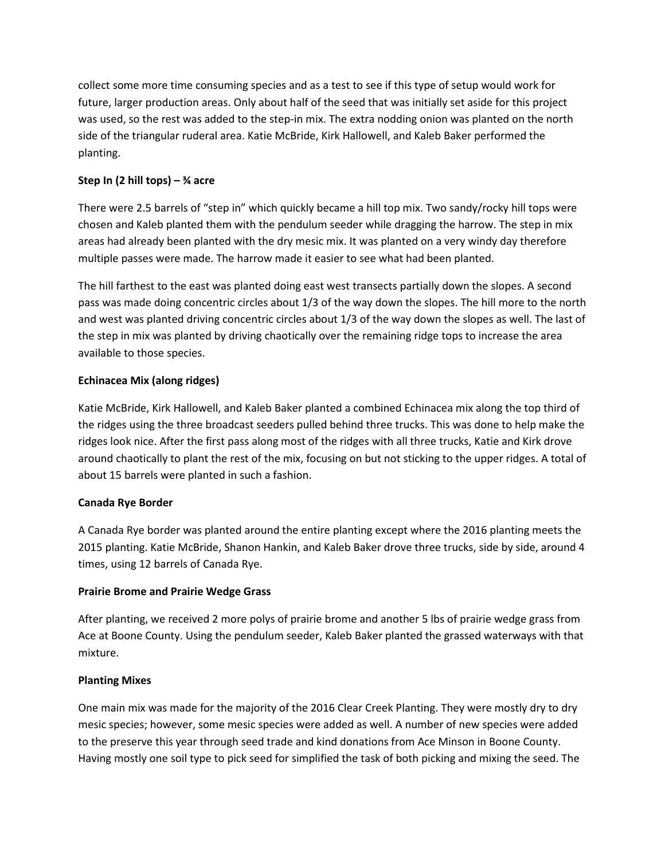collect some more time consuming species and as a test to see if this type of setup would work for future, larger production areas. Only about half of the seed that was initially set aside for this project was used, so the rest was added to the step-in mix. The extra nodding onion was planted on the north side of the triangular ruderal area. Katie McBride, Kirk Hallowell, and Kaleb Baker performed the planting.

# **Step In (2 hill tops) – ¾ acre**

There were 2.5 barrels of "step in" which quickly became a hill top mix. Two sandy/rocky hill tops were chosen and Kaleb planted them with the pendulum seeder while dragging the harrow. The step in mix areas had already been planted with the dry mesic mix. It was planted on a very windy day therefore multiple passes were made. The harrow made it easier to see what had been planted.

The hill farthest to the east was planted doing east west transects partially down the slopes. A second pass was made doing concentric circles about 1/3 of the way down the slopes. The hill more to the north and west was planted driving concentric circles about 1/3 of the way down the slopes as well. The last of the step in mix was planted by driving chaotically over the remaining ridge tops to increase the area available to those species.

# **Echinacea Mix (along ridges)**

Katie McBride, Kirk Hallowell, and Kaleb Baker planted a combined Echinacea mix along the top third of the ridges using the three broadcast seeders pulled behind three trucks. This was done to help make the ridges look nice. After the first pass along most of the ridges with all three trucks, Katie and Kirk drove around chaotically to plant the rest of the mix, focusing on but not sticking to the upper ridges. A total of about 15 barrels were planted in such a fashion.

# **Canada Rye Border**

A Canada Rye border was planted around the entire planting except where the 2016 planting meets the 2015 planting. Katie McBride, Shanon Hankin, and Kaleb Baker drove three trucks, side by side, around 4 times, using 12 barrels of Canada Rye.

# **Prairie Brome and Prairie Wedge Grass**

After planting, we received 2 more polys of prairie brome and another 5 lbs of prairie wedge grass from Ace at Boone County. Using the pendulum seeder, Kaleb Baker planted the grassed waterways with that mixture.

# **Planting Mixes**

One main mix was made for the majority of the 2016 Clear Creek Planting. They were mostly dry to dry mesic species; however, some mesic species were added as well. A number of new species were added to the preserve this year through seed trade and kind donations from Ace Minson in Boone County. Having mostly one soil type to pick seed for simplified the task of both picking and mixing the seed. The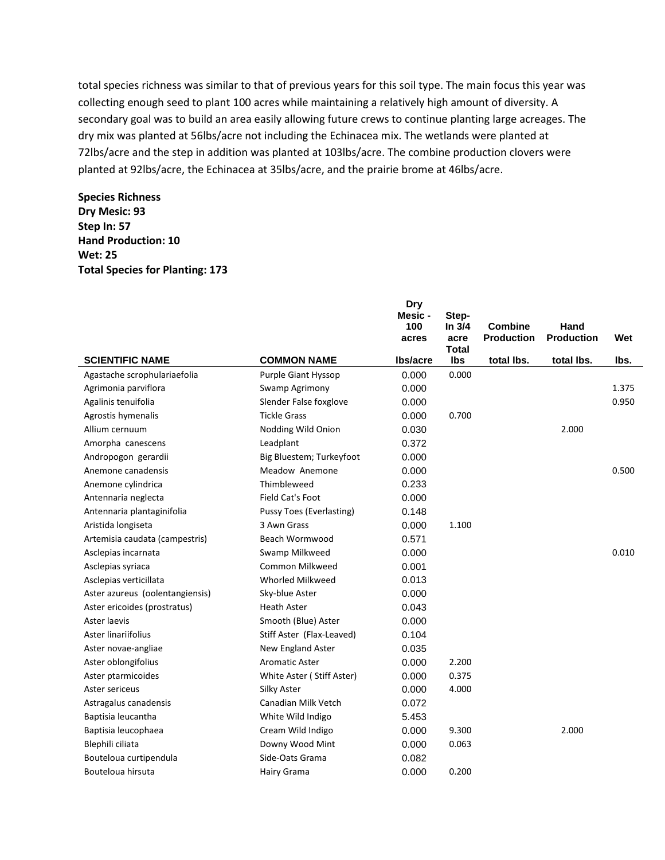total species richness was similar to that of previous years for this soil type. The main focus this year was collecting enough seed to plant 100 acres while maintaining a relatively high amount of diversity. A secondary goal was to build an area easily allowing future crews to continue planting large acreages. The dry mix was planted at 56lbs/acre not including the Echinacea mix. The wetlands were planted at 72lbs/acre and the step in addition was planted at 103lbs/acre. The combine production clovers were planted at 92lbs/acre, the Echinacea at 35lbs/acre, and the prairie brome at 46lbs/acre.

**Species Richness Dry Mesic: 93 Step In: 57 Hand Production: 10 Wet: 25 Total Species for Planting: 173**

|                                 |                                 | <b>Dry</b><br>Mesic -<br>100<br>acres | Step-<br>In $3/4$<br>acre | <b>Combine</b><br><b>Production</b> | Hand<br><b>Production</b> | Wet   |
|---------------------------------|---------------------------------|---------------------------------------|---------------------------|-------------------------------------|---------------------------|-------|
| <b>SCIENTIFIC NAME</b>          | <b>COMMON NAME</b>              | lbs/acre                              | <b>Total</b><br>Ibs       | total lbs.                          | total lbs.                | lbs.  |
| Agastache scrophulariaefolia    | Purple Giant Hyssop             | 0.000                                 | 0.000                     |                                     |                           |       |
| Agrimonia parviflora            | Swamp Agrimony                  | 0.000                                 |                           |                                     |                           | 1.375 |
| Agalinis tenuifolia             | Slender False foxglove          | 0.000                                 |                           |                                     |                           | 0.950 |
| Agrostis hymenalis              | <b>Tickle Grass</b>             | 0.000                                 | 0.700                     |                                     |                           |       |
| Allium cernuum                  | Nodding Wild Onion              | 0.030                                 |                           |                                     | 2.000                     |       |
| Amorpha canescens               | Leadplant                       | 0.372                                 |                           |                                     |                           |       |
| Andropogon gerardii             | Big Bluestem; Turkeyfoot        | 0.000                                 |                           |                                     |                           |       |
| Anemone canadensis              | Meadow Anemone                  | 0.000                                 |                           |                                     |                           | 0.500 |
| Anemone cylindrica              | Thimbleweed                     | 0.233                                 |                           |                                     |                           |       |
| Antennaria neglecta             | Field Cat's Foot                | 0.000                                 |                           |                                     |                           |       |
| Antennaria plantaginifolia      | <b>Pussy Toes (Everlasting)</b> | 0.148                                 |                           |                                     |                           |       |
| Aristida longiseta              | 3 Awn Grass                     | 0.000                                 | 1.100                     |                                     |                           |       |
| Artemisia caudata (campestris)  | Beach Wormwood                  | 0.571                                 |                           |                                     |                           |       |
| Asclepias incarnata             | Swamp Milkweed                  | 0.000                                 |                           |                                     |                           | 0.010 |
| Asclepias syriaca               | Common Milkweed                 | 0.001                                 |                           |                                     |                           |       |
| Asclepias verticillata          | Whorled Milkweed                | 0.013                                 |                           |                                     |                           |       |
| Aster azureus (oolentangiensis) | Sky-blue Aster                  | 0.000                                 |                           |                                     |                           |       |
| Aster ericoides (prostratus)    | <b>Heath Aster</b>              | 0.043                                 |                           |                                     |                           |       |
| Aster laevis                    | Smooth (Blue) Aster             | 0.000                                 |                           |                                     |                           |       |
| Aster linariifolius             | Stiff Aster (Flax-Leaved)       | 0.104                                 |                           |                                     |                           |       |
| Aster novae-angliae             | New England Aster               | 0.035                                 |                           |                                     |                           |       |
| Aster oblongifolius             | <b>Aromatic Aster</b>           | 0.000                                 | 2.200                     |                                     |                           |       |
| Aster ptarmicoides              | White Aster (Stiff Aster)       | 0.000                                 | 0.375                     |                                     |                           |       |
| Aster sericeus                  | Silky Aster                     | 0.000                                 | 4.000                     |                                     |                           |       |
| Astragalus canadensis           | Canadian Milk Vetch             | 0.072                                 |                           |                                     |                           |       |
| Baptisia leucantha              | White Wild Indigo               | 5.453                                 |                           |                                     |                           |       |
| Baptisia leucophaea             | Cream Wild Indigo               | 0.000                                 | 9.300                     |                                     | 2.000                     |       |
| Blephili ciliata                | Downy Wood Mint                 | 0.000                                 | 0.063                     |                                     |                           |       |
| Bouteloua curtipendula          | Side-Oats Grama                 | 0.082                                 |                           |                                     |                           |       |
| Bouteloua hirsuta               | Hairy Grama                     | 0.000                                 | 0.200                     |                                     |                           |       |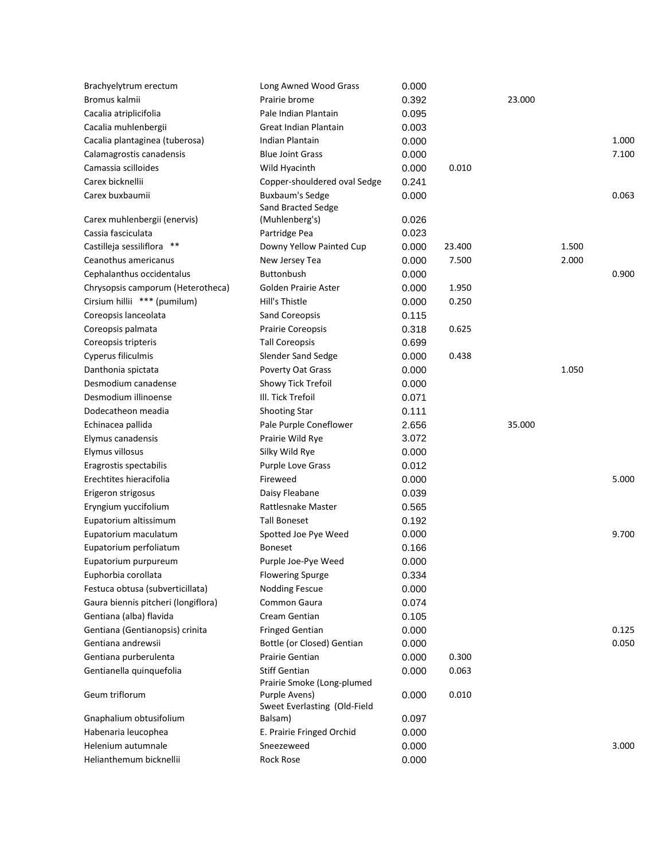| Brachyelytrum erectum               | Long Awned Wood Grass                         | 0.000 |        |        |       |       |
|-------------------------------------|-----------------------------------------------|-------|--------|--------|-------|-------|
| Bromus kalmii                       | Prairie brome                                 | 0.392 |        | 23.000 |       |       |
| Cacalia atriplicifolia              | Pale Indian Plantain                          | 0.095 |        |        |       |       |
| Cacalia muhlenbergii                | Great Indian Plantain                         | 0.003 |        |        |       |       |
| Cacalia plantaginea (tuberosa)      | Indian Plantain                               | 0.000 |        |        |       | 1.000 |
| Calamagrostis canadensis            | <b>Blue Joint Grass</b>                       | 0.000 |        |        |       | 7.100 |
| Camassia scilloides                 | Wild Hyacinth                                 | 0.000 | 0.010  |        |       |       |
| Carex bicknellii                    | Copper-shouldered oval Sedge                  | 0.241 |        |        |       |       |
| Carex buxbaumii                     | Buxbaum's Sedge<br>Sand Bracted Sedge         | 0.000 |        |        |       | 0.063 |
| Carex muhlenbergii (enervis)        | (Muhlenberg's)                                | 0.026 |        |        |       |       |
| Cassia fasciculata                  | Partridge Pea                                 | 0.023 |        |        |       |       |
| Castilleja sessiliflora **          | Downy Yellow Painted Cup                      | 0.000 | 23.400 |        | 1.500 |       |
| Ceanothus americanus                | New Jersey Tea                                | 0.000 | 7.500  |        | 2.000 |       |
| Cephalanthus occidentalus           | <b>Buttonbush</b>                             | 0.000 |        |        |       | 0.900 |
| Chrysopsis camporum (Heterotheca)   | Golden Prairie Aster                          | 0.000 | 1.950  |        |       |       |
| Cirsium hillii *** (pumilum)        | Hill's Thistle                                | 0.000 | 0.250  |        |       |       |
| Coreopsis lanceolata                | Sand Coreopsis                                | 0.115 |        |        |       |       |
| Coreopsis palmata                   | Prairie Coreopsis                             | 0.318 | 0.625  |        |       |       |
| Coreopsis tripteris                 | <b>Tall Coreopsis</b>                         | 0.699 |        |        |       |       |
| Cyperus filiculmis                  | Slender Sand Sedge                            | 0.000 | 0.438  |        |       |       |
| Danthonia spictata                  | Poverty Oat Grass                             | 0.000 |        |        | 1.050 |       |
| Desmodium canadense                 | Showy Tick Trefoil                            | 0.000 |        |        |       |       |
| Desmodium illinoense                | III. Tick Trefoil                             | 0.071 |        |        |       |       |
| Dodecatheon meadia                  | <b>Shooting Star</b>                          | 0.111 |        |        |       |       |
| Echinacea pallida                   | Pale Purple Coneflower                        | 2.656 |        | 35.000 |       |       |
| Elymus canadensis                   | Prairie Wild Rye                              | 3.072 |        |        |       |       |
| Elymus villosus                     | Silky Wild Rye                                | 0.000 |        |        |       |       |
| Eragrostis spectabilis              | Purple Love Grass                             | 0.012 |        |        |       |       |
| Erechtites hieracifolia             | Fireweed                                      | 0.000 |        |        |       | 5.000 |
| Erigeron strigosus                  | Daisy Fleabane                                | 0.039 |        |        |       |       |
| Eryngium yuccifolium                | Rattlesnake Master                            | 0.565 |        |        |       |       |
| Eupatorium altissimum               | <b>Tall Boneset</b>                           | 0.192 |        |        |       |       |
| Eupatorium maculatum                | Spotted Joe Pye Weed                          | 0.000 |        |        |       | 9.700 |
| Eupatorium perfoliatum              | <b>Boneset</b>                                | 0.166 |        |        |       |       |
| Eupatorium purpureum                | Purple Joe-Pye Weed                           | 0.000 |        |        |       |       |
| Euphorbia corollata                 | <b>Flowering Spurge</b>                       | 0.334 |        |        |       |       |
| Festuca obtusa (subverticillata)    | <b>Nodding Fescue</b>                         | 0.000 |        |        |       |       |
| Gaura biennis pitcheri (longiflora) | Common Gaura                                  | 0.074 |        |        |       |       |
| Gentiana (alba) flavida             | Cream Gentian                                 | 0.105 |        |        |       |       |
| Gentiana (Gentianopsis) crinita     | <b>Fringed Gentian</b>                        | 0.000 |        |        |       | 0.125 |
| Gentiana andrewsii                  | Bottle (or Closed) Gentian                    | 0.000 |        |        |       | 0.050 |
| Gentiana purberulenta               | Prairie Gentian                               | 0.000 | 0.300  |        |       |       |
| Gentianella quinquefolia            | <b>Stiff Gentian</b>                          | 0.000 | 0.063  |        |       |       |
|                                     | Prairie Smoke (Long-plumed                    |       |        |        |       |       |
| Geum triflorum                      | Purple Avens)<br>Sweet Everlasting (Old-Field | 0.000 | 0.010  |        |       |       |
| Gnaphalium obtusifolium             | Balsam)                                       | 0.097 |        |        |       |       |
| Habenaria leucophea                 | E. Prairie Fringed Orchid                     | 0.000 |        |        |       |       |
| Helenium autumnale                  | Sneezeweed                                    | 0.000 |        |        |       | 3.000 |
| Helianthemum bicknellii             | Rock Rose                                     | 0.000 |        |        |       |       |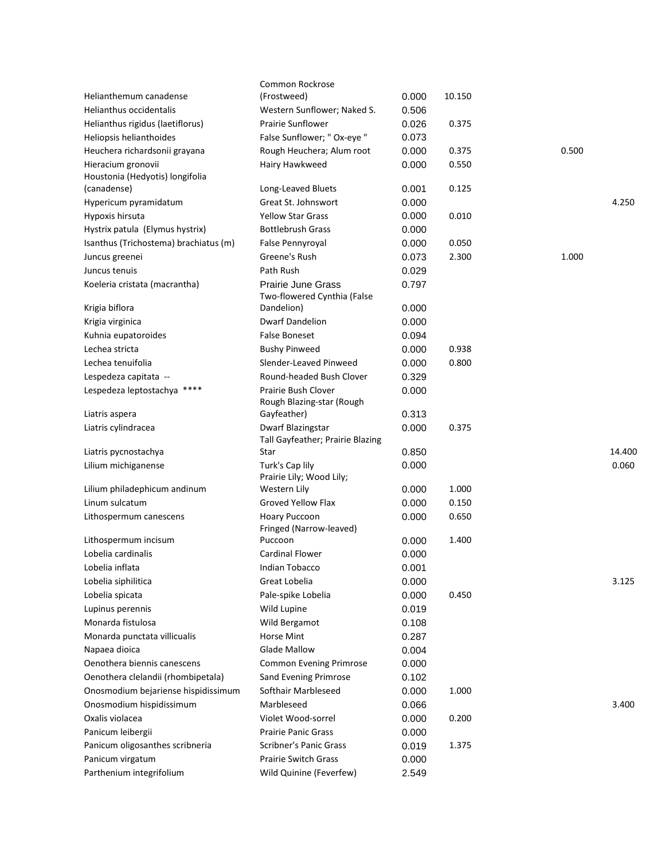|                                       | Common Rockrose                                          |       |        |       |        |
|---------------------------------------|----------------------------------------------------------|-------|--------|-------|--------|
| Helianthemum canadense                | (Frostweed)                                              | 0.000 | 10.150 |       |        |
| <b>Helianthus occidentalis</b>        | Western Sunflower; Naked S.                              | 0.506 |        |       |        |
| Helianthus rigidus (laetiflorus)      | <b>Prairie Sunflower</b>                                 | 0.026 | 0.375  |       |        |
| Heliopsis helianthoides               | False Sunflower; " Ox-eye "                              | 0.073 |        |       |        |
| Heuchera richardsonii grayana         | Rough Heuchera; Alum root                                | 0.000 | 0.375  | 0.500 |        |
| Hieracium gronovii                    | Hairy Hawkweed                                           | 0.000 | 0.550  |       |        |
| Houstonia (Hedyotis) longifolia       |                                                          |       |        |       |        |
| (canadense)                           | Long-Leaved Bluets                                       | 0.001 | 0.125  |       |        |
| Hypericum pyramidatum                 | Great St. Johnswort                                      | 0.000 |        |       | 4.250  |
| Hypoxis hirsuta                       | <b>Yellow Star Grass</b>                                 | 0.000 | 0.010  |       |        |
| Hystrix patula (Elymus hystrix)       | <b>Bottlebrush Grass</b>                                 | 0.000 |        |       |        |
| Isanthus (Trichostema) brachiatus (m) | False Pennyroyal                                         | 0.000 | 0.050  |       |        |
| Juncus greenei                        | Greene's Rush                                            | 0.073 | 2.300  | 1.000 |        |
| Juncus tenuis                         | Path Rush                                                | 0.029 |        |       |        |
| Koeleria cristata (macrantha)         | <b>Prairie June Grass</b><br>Two-flowered Cynthia (False | 0.797 |        |       |        |
| Krigia biflora                        | Dandelion)                                               | 0.000 |        |       |        |
| Krigia virginica                      | <b>Dwarf Dandelion</b>                                   | 0.000 |        |       |        |
| Kuhnia eupatoroides                   | <b>False Boneset</b>                                     | 0.094 |        |       |        |
| Lechea stricta                        | <b>Bushy Pinweed</b>                                     | 0.000 | 0.938  |       |        |
| Lechea tenuifolia                     | Slender-Leaved Pinweed                                   | 0.000 | 0.800  |       |        |
| Lespedeza capitata --                 | Round-headed Bush Clover                                 | 0.329 |        |       |        |
| Lespedeza leptostachya ****           | Prairie Bush Clover                                      | 0.000 |        |       |        |
|                                       | Rough Blazing-star (Rough                                |       |        |       |        |
| Liatris aspera                        | Gayfeather)                                              | 0.313 |        |       |        |
| Liatris cylindracea                   | Dwarf Blazingstar                                        | 0.000 | 0.375  |       |        |
|                                       | Tall Gayfeather; Prairie Blazing                         |       |        |       |        |
| Liatris pycnostachya                  | Star                                                     | 0.850 |        |       | 14.400 |
| Lilium michiganense                   | Turk's Cap lily                                          | 0.000 |        |       | 0.060  |
| Lilium philadephicum andinum          | Prairie Lily; Wood Lily;<br>Western Lily                 | 0.000 | 1.000  |       |        |
| Linum sulcatum                        | Groved Yellow Flax                                       | 0.000 | 0.150  |       |        |
|                                       |                                                          |       | 0.650  |       |        |
| Lithospermum canescens                | Hoary Puccoon<br>Fringed (Narrow-leaved)                 | 0.000 |        |       |        |
| Lithospermum incisum                  | Puccoon                                                  | 0.000 | 1.400  |       |        |
| Lobelia cardinalis                    | <b>Cardinal Flower</b>                                   | 0.000 |        |       |        |
| Lobelia inflata                       | Indian Tobacco                                           | 0.001 |        |       |        |
| Lobelia siphilitica                   | Great Lobelia                                            | 0.000 |        |       | 3.125  |
| Lobelia spicata                       | Pale-spike Lobelia                                       | 0.000 | 0.450  |       |        |
| Lupinus perennis                      | Wild Lupine                                              | 0.019 |        |       |        |
| Monarda fistulosa                     | Wild Bergamot                                            | 0.108 |        |       |        |
| Monarda punctata villicualis          | Horse Mint                                               | 0.287 |        |       |        |
| Napaea dioica                         | <b>Glade Mallow</b>                                      | 0.004 |        |       |        |
| Oenothera biennis canescens           | <b>Common Evening Primrose</b>                           | 0.000 |        |       |        |
| Oenothera clelandii (rhombipetala)    | Sand Evening Primrose                                    | 0.102 |        |       |        |
| Onosmodium bejariense hispidissimum   | Softhair Marbleseed                                      | 0.000 | 1.000  |       |        |
| Onosmodium hispidissimum              | Marbleseed                                               | 0.066 |        |       | 3.400  |
| Oxalis violacea                       | Violet Wood-sorrel                                       | 0.000 | 0.200  |       |        |
| Panicum leibergii                     | <b>Prairie Panic Grass</b>                               | 0.000 |        |       |        |
| Panicum oligosanthes scribneria       | Scribner's Panic Grass                                   | 0.019 | 1.375  |       |        |
| Panicum virgatum                      | Prairie Switch Grass                                     | 0.000 |        |       |        |
| Parthenium integrifolium              | Wild Quinine (Feverfew)                                  |       |        |       |        |
|                                       |                                                          | 2.549 |        |       |        |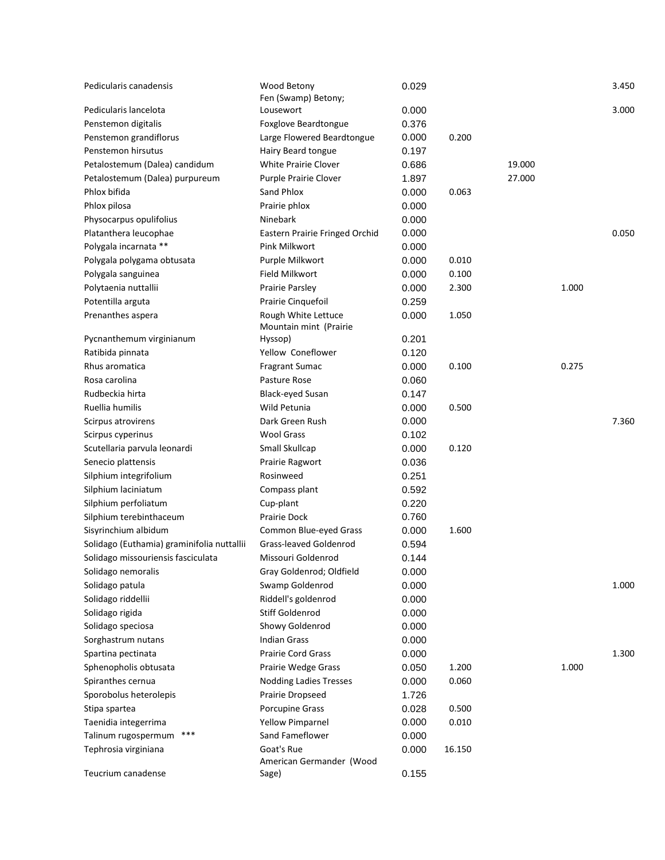| Pedicularis canadensis                     | Wood Betony<br>Fen (Swamp) Betony; | 0.029 |        |        |       | 3.450 |
|--------------------------------------------|------------------------------------|-------|--------|--------|-------|-------|
| Pedicularis lancelota                      | Lousewort                          | 0.000 |        |        |       | 3.000 |
| Penstemon digitalis                        | Foxglove Beardtongue               | 0.376 |        |        |       |       |
| Penstemon grandiflorus                     | Large Flowered Beardtongue         | 0.000 | 0.200  |        |       |       |
| Penstemon hirsutus                         | Hairy Beard tongue                 | 0.197 |        |        |       |       |
| Petalostemum (Dalea) candidum              | White Prairie Clover               | 0.686 |        | 19.000 |       |       |
| Petalostemum (Dalea) purpureum             | Purple Prairie Clover              | 1.897 |        | 27.000 |       |       |
| Phlox bifida                               | Sand Phlox                         | 0.000 | 0.063  |        |       |       |
| Phlox pilosa                               | Prairie phlox                      | 0.000 |        |        |       |       |
| Physocarpus opulifolius                    | Ninebark                           | 0.000 |        |        |       |       |
| Platanthera leucophae                      | Eastern Prairie Fringed Orchid     | 0.000 |        |        |       | 0.050 |
| Polygala incarnata **                      | Pink Milkwort                      | 0.000 |        |        |       |       |
| Polygala polygama obtusata                 | Purple Milkwort                    | 0.000 | 0.010  |        |       |       |
| Polygala sanguinea                         | Field Milkwort                     | 0.000 | 0.100  |        |       |       |
| Polytaenia nuttallii                       | Prairie Parsley                    | 0.000 | 2.300  |        | 1.000 |       |
| Potentilla arguta                          | Prairie Cinquefoil                 | 0.259 |        |        |       |       |
| Prenanthes aspera                          | Rough White Lettuce                | 0.000 | 1.050  |        |       |       |
|                                            | Mountain mint (Prairie             |       |        |        |       |       |
| Pycnanthemum virginianum                   | Hyssop)                            | 0.201 |        |        |       |       |
| Ratibida pinnata                           | Yellow Coneflower                  | 0.120 |        |        |       |       |
| Rhus aromatica                             | <b>Fragrant Sumac</b>              | 0.000 | 0.100  |        | 0.275 |       |
| Rosa carolina                              | Pasture Rose                       | 0.060 |        |        |       |       |
| Rudbeckia hirta                            | <b>Black-eyed Susan</b>            | 0.147 |        |        |       |       |
| Ruellia humilis                            | Wild Petunia                       | 0.000 | 0.500  |        |       |       |
| Scirpus atrovirens                         | Dark Green Rush                    | 0.000 |        |        |       | 7.360 |
| Scirpus cyperinus                          | <b>Wool Grass</b>                  | 0.102 |        |        |       |       |
| Scutellaria parvula leonardi               | Small Skullcap                     | 0.000 | 0.120  |        |       |       |
| Senecio plattensis                         | Prairie Ragwort                    | 0.036 |        |        |       |       |
| Silphium integrifolium                     | Rosinweed                          | 0.251 |        |        |       |       |
| Silphium laciniatum                        | Compass plant                      | 0.592 |        |        |       |       |
| Silphium perfoliatum                       | Cup-plant                          | 0.220 |        |        |       |       |
| Silphium terebinthaceum                    | Prairie Dock                       | 0.760 |        |        |       |       |
| Sisyrinchium albidum                       | Common Blue-eyed Grass             | 0.000 | 1.600  |        |       |       |
| Solidago (Euthamia) graminifolia nuttallii | Grass-leaved Goldenrod             | 0.594 |        |        |       |       |
| Solidago missouriensis fasciculata         | Missouri Goldenrod                 | 0.144 |        |        |       |       |
| Solidago nemoralis                         | Gray Goldenrod; Oldfield           | 0.000 |        |        |       |       |
| Solidago patula                            | Swamp Goldenrod                    | 0.000 |        |        |       | 1.000 |
| Solidago riddellii                         | Riddell's goldenrod                | 0.000 |        |        |       |       |
| Solidago rigida                            | Stiff Goldenrod                    | 0.000 |        |        |       |       |
| Solidago speciosa                          | Showy Goldenrod                    | 0.000 |        |        |       |       |
| Sorghastrum nutans                         | <b>Indian Grass</b>                | 0.000 |        |        |       |       |
| Spartina pectinata                         | <b>Prairie Cord Grass</b>          | 0.000 |        |        |       | 1.300 |
| Sphenopholis obtusata                      | Prairie Wedge Grass                | 0.050 | 1.200  |        | 1.000 |       |
| Spiranthes cernua                          | <b>Nodding Ladies Tresses</b>      | 0.000 | 0.060  |        |       |       |
| Sporobolus heterolepis                     | Prairie Dropseed                   | 1.726 |        |        |       |       |
| Stipa spartea                              | Porcupine Grass                    | 0.028 | 0.500  |        |       |       |
| Taenidia integerrima                       | <b>Yellow Pimparnel</b>            | 0.000 | 0.010  |        |       |       |
| ***<br>Talinum rugospermum                 | Sand Fameflower                    | 0.000 |        |        |       |       |
| Tephrosia virginiana                       | Goat's Rue                         | 0.000 | 16.150 |        |       |       |
|                                            | American Germander (Wood           |       |        |        |       |       |
| Teucrium canadense                         | Sage)                              | 0.155 |        |        |       |       |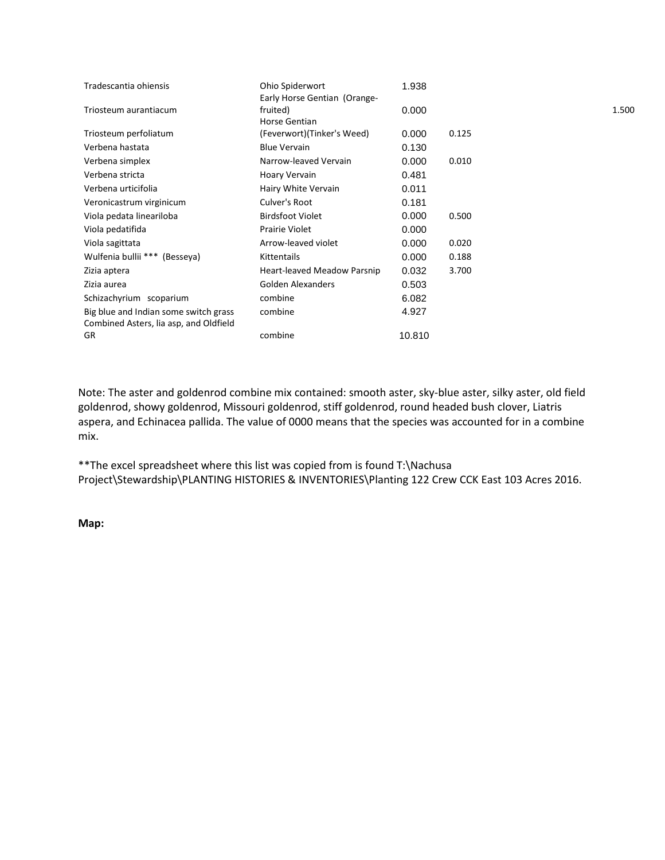| Ohio Spiderwort             | 1.938                        |       |       |
|-----------------------------|------------------------------|-------|-------|
| fruited)<br>Horse Gentian   | 0.000                        |       | 1.500 |
| (Feverwort)(Tinker's Weed)  | 0.000                        | 0.125 |       |
| <b>Blue Vervain</b>         | 0.130                        |       |       |
| Narrow-leaved Vervain       | 0.000                        | 0.010 |       |
| Hoary Vervain               | 0.481                        |       |       |
| Hairy White Vervain         | 0.011                        |       |       |
| Culver's Root               | 0.181                        |       |       |
| <b>Birdsfoot Violet</b>     | 0.000                        | 0.500 |       |
| <b>Prairie Violet</b>       | 0.000                        |       |       |
| Arrow-leaved violet         | 0.000                        | 0.020 |       |
| <b>Kittentails</b>          | 0.000                        | 0.188 |       |
| Heart-leaved Meadow Parsnip | 0.032                        | 3.700 |       |
| Golden Alexanders           | 0.503                        |       |       |
| combine                     | 6.082                        |       |       |
| combine                     | 4.927                        |       |       |
| combine                     | 10.810                       |       |       |
|                             | Early Horse Gentian (Orange- |       |       |

Note: The aster and goldenrod combine mix contained: smooth aster, sky-blue aster, silky aster, old field goldenrod, showy goldenrod, Missouri goldenrod, stiff goldenrod, round headed bush clover, Liatris aspera, and Echinacea pallida. The value of 0000 means that the species was accounted for in a combine mix.

\*\*The excel spreadsheet where this list was copied from is found T:\Nachusa Project\Stewardship\PLANTING HISTORIES & INVENTORIES\Planting 122 Crew CCK East 103 Acres 2016.

**Map:**